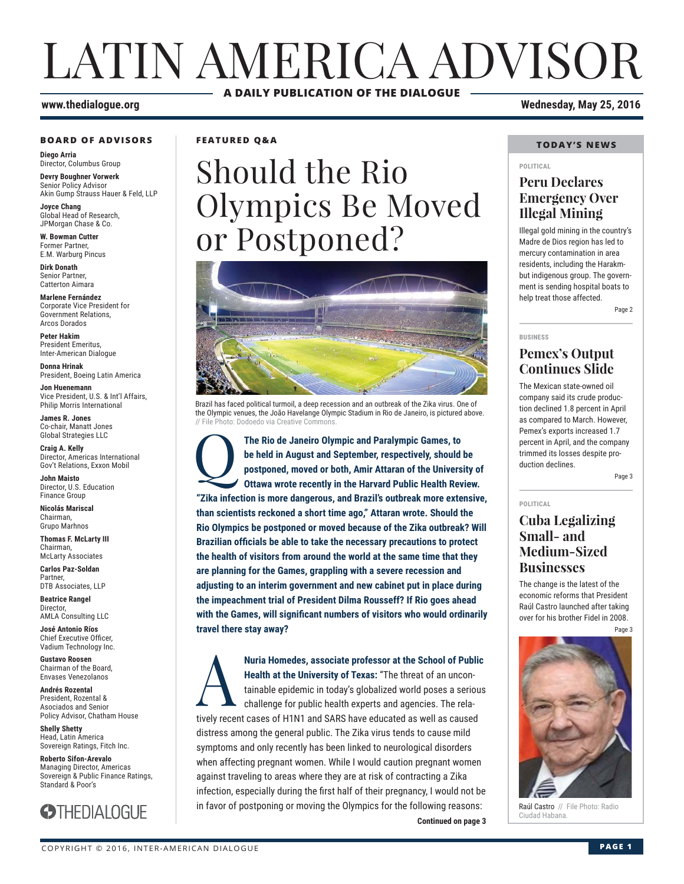# LATIN AMERICA ADVISOR **A DAILY PUBLICATION OF THE DIALOGUE**

#### **www.thedialogue.org Wednesday, May 25, 2016**

#### **BOARD OF ADVISORS**

**Diego Arria** Director, Columbus Group

**Devry Boughner Vorwerk** Senior Policy Advisor Akin Gump Strauss Hauer & Feld, LLP

**Joyce Chang** Global Head of Research, JPMorgan Chase & Co.

**W. Bowman Cutter** Former Partner, E.M. Warburg Pincus

**Dirk Donath** Senior Partner, Catterton Aimara

**Marlene Fernández** Corporate Vice President for Government Relations, Arcos Dorados

**Peter Hakim** President Emeritus, Inter-American Dialogue

**Donna Hrinak** President, Boeing Latin America

**Jon Huenemann** Vice President, U.S. & Int'l Affairs, Philip Morris International

**James R. Jones** Co-chair, Manatt Jones Global Strategies LLC

**Craig A. Kelly** Director, Americas International Gov't Relations, Exxon Mobil

**John Maisto** Director, U.S. Education Finance Group

**Nicolás Mariscal** Chairman, Grupo Marhnos

**Thomas F. McLarty III** Chairman, McLarty Associates

**Carlos Paz-Soldan** Partner, DTB Associates, LLP

**Beatrice Rangel**  Director, AMLA Consulting LLC

**José Antonio Ríos** Chief Executive Officer, Vadium Technology Inc.

**Gustavo Roosen** Chairman of the Board, Envases Venezolanos

**Andrés Rozental**  President, Rozental & Asociados and Senior Policy Advisor, Chatham House

**Shelly Shetty** Head, Latin America Sovereign Ratings, Fitch Inc.

**Roberto Sifon-Arevalo** Managing Director, Americas Sovereign & Public Finance Ratings, Standard & Poor's



**FEATURED Q&A**

# Should the Rio Olympics Be Moved or Postponed?



Brazil has faced political turmoil, a deep recession and an outbreak of the Zika virus. One of the Olympic venues, the João Havelange Olympic Stadium in Rio de Janeiro, is pictured above. // File Photo: Dodoedo via Creative Common

The Rio de Janeiro Olympic and Paralympic Games, to be held in August and September, respectively, should postponed, moved or both, Amir Attaran of the Univers Ottawa wrote recently in the Harvard Public Health Rev **be held in August and September, respectively, should be postponed, moved or both, Amir Attaran of the University of Ottawa wrote recently in the Harvard Public Health Review. "Zika infection is more dangerous, and Brazil's outbreak more extensive, than scientists reckoned a short time ago," Attaran wrote. Should the Rio Olympics be postponed or moved because of the Zika outbreak? Will Brazilian officials be able to take the necessary precautions to protect the health of visitors from around the world at the same time that they are planning for the Games, grappling with a severe recession and adjusting to an interim government and new cabinet put in place during the impeachment trial of President Dilma Rousseff? If Rio goes ahead**  with the Games, will significant numbers of visitors who would ordinarily **travel there stay away?**

**Continued on page 3 ANuria Homedes, associate professor at the School of Public<br>Health at the University of Texas: "The threat of an uncon-<br>tainable epidemic in today's globalized world poses a serious<br>challenge for public health experts and Health at the University of Texas:** "The threat of an uncontainable epidemic in today's globalized world poses a serious challenge for public health experts and agencies. The relatively recent cases of H1N1 and SARS have educated as well as caused distress among the general public. The Zika virus tends to cause mild symptoms and only recently has been linked to neurological disorders when affecting pregnant women. While I would caution pregnant women against traveling to areas where they are at risk of contracting a Zika infection, especially during the first half of their pregnancy, I would not be in favor of postponing or moving the Olympics for the following reasons:

### **TODAY'S NEWS**

#### **POLITICAL**

### **Peru Declares Emergency Over Illegal Mining**

Illegal gold mining in the country's Madre de Dios region has led to mercury contamination in area residents, including the Harakmbut indigenous group. The government is sending hospital boats to help treat those affected.

Page 2

#### **BUSINESS**

**POLITICAL**

### **Pemex's Output Continues Slide**

The Mexican state-owned oil company said its crude production declined 1.8 percent in April as compared to March. However, Pemex's exports increased 1.7 percent in April, and the company trimmed its losses despite production declines.

Page 3

### **Cuba Legalizing Small- and Medium-Sized Businesses**

The change is the latest of the economic reforms that President Raúl Castro launched after taking over for his brother Fidel in 2008. Page 3



Raúl Castro // File Photo: Radio<br>Ciudad Habana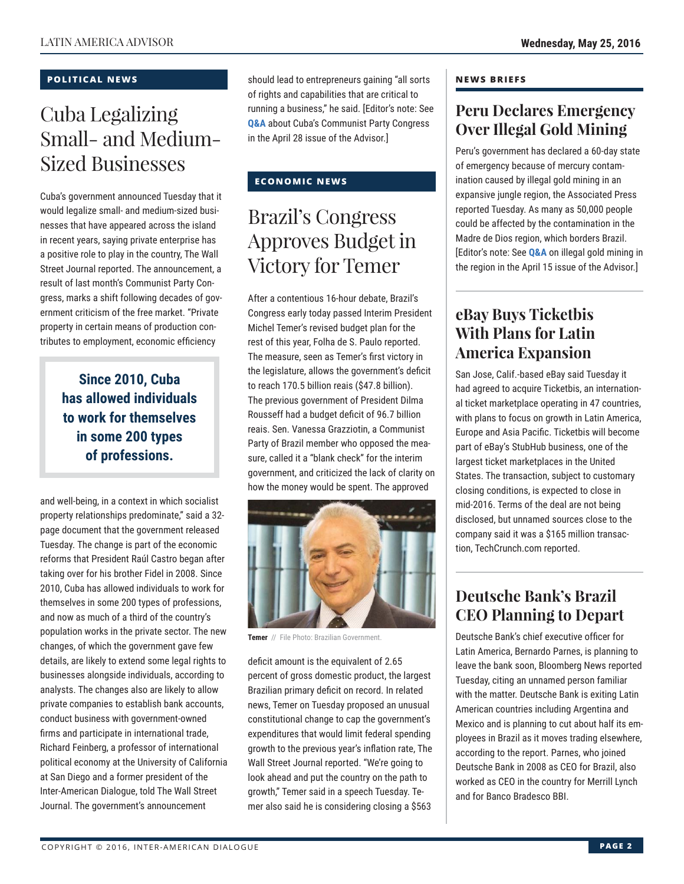### **POLITICAL NEWS**

## Cuba Legalizing Small- and Medium-Sized Businesses

Cuba's government announced Tuesday that it would legalize small- and medium-sized businesses that have appeared across the island in recent years, saying private enterprise has a positive role to play in the country, The Wall Street Journal reported. The announcement, a result of last month's Communist Party Congress, marks a shift following decades of government criticism of the free market. "Private property in certain means of production contributes to employment, economic efficiency

> **Since 2010, Cuba has allowed individuals to work for themselves in some 200 types of professions.**

and well-being, in a context in which socialist property relationships predominate," said a 32 page document that the government released Tuesday. The change is part of the economic reforms that President Raúl Castro began after taking over for his brother Fidel in 2008. Since 2010, Cuba has allowed individuals to work for themselves in some 200 types of professions, and now as much of a third of the country's population works in the private sector. The new changes, of which the government gave few details, are likely to extend some legal rights to businesses alongside individuals, according to analysts. The changes also are likely to allow private companies to establish bank accounts, conduct business with government-owned firms and participate in international trade, Richard Feinberg, a professor of international political economy at the University of California at San Diego and a former president of the Inter-American Dialogue, told The Wall Street Journal. The government's announcement

should lead to entrepreneurs gaining "all sorts of rights and capabilities that are critical to [running a](http://www.thedialogue.org/wp-content/uploads/2016/04/LAA160428.pdf) business," he said. [Editor's note: See **Q&A** about Cuba's Communist Party Congress in the April 28 issue of the Advisor.]

### **ECONOMIC NEWS**

### Brazil's Congress Approves Budget in Victory for Temer

After a contentious 16-hour debate, Brazil's Congress early today passed Interim President Michel Temer's revised budget plan for the rest of this year, Folha de S. Paulo reported. The measure, seen as Temer's first victory in the legislature, allows the government's deficit to reach 170.5 billion reais (\$47.8 billion). The previous government of President Dilma Rousseff had a budget deficit of 96.7 billion reais. Sen. Vanessa Grazziotin, a Communist Party of Brazil member who opposed the measure, called it a "blank check" for the interim government, and criticized the lack of clarity on how the money would be spent. The approved



**Temer** // File Photo: Brazilian Government.

deficit amount is the equivalent of 2.65 percent of gross domestic product, the largest Brazilian primary deficit on record. In related news, Temer on Tuesday proposed an unusual constitutional change to cap the government's expenditures that would limit federal spending growth to the previous year's inflation rate, The Wall Street Journal reported. "We're going to look ahead and put the country on the path to growth," Temer said in a speech Tuesday. Temer also said he is considering closing a \$563

#### **NEWS BRIEFS**

### **Peru Declares Emergency Over Illegal Gold Mining**

Peru's government has declared a 60-day state of emergency because of mercury contamination caused by illegal gold mining in an expansive jungle region, the Associated Press reported Tuesday. As many as 50,000 people could be affected by the contamination in the Madre de Dios region, which borders Brazil. [Editor's note: See **Q&A** on illegal gold mining in the region in the [April 15 iss](http://www.thedialogue.org/wp-content/uploads/2016/04/LAA160415.pdf)ue of the Advisor.]

### **eBay Buys Ticketbis With Plans for Latin America Expansion**

San Jose, Calif.-based eBay said Tuesday it had agreed to acquire Ticketbis, an international ticket marketplace operating in 47 countries, with plans to focus on growth in Latin America, Europe and Asia Pacific. Ticketbis will become part of eBay's StubHub business, one of the largest ticket marketplaces in the United States. The transaction, subject to customary closing conditions, is expected to close in mid-2016. Terms of the deal are not being disclosed, but unnamed sources close to the company said it was a \$165 million transaction, TechCrunch.com reported.

### **Deutsche Bank's Brazil CEO Planning to Depart**

Deutsche Bank's chief executive officer for Latin America, Bernardo Parnes, is planning to leave the bank soon, Bloomberg News reported Tuesday, citing an unnamed person familiar with the matter. Deutsche Bank is exiting Latin American countries including Argentina and Mexico and is planning to cut about half its employees in Brazil as it moves trading elsewhere, according to the report. Parnes, who joined Deutsche Bank in 2008 as CEO for Brazil, also worked as CEO in the country for Merrill Lynch and for Banco Bradesco BBI.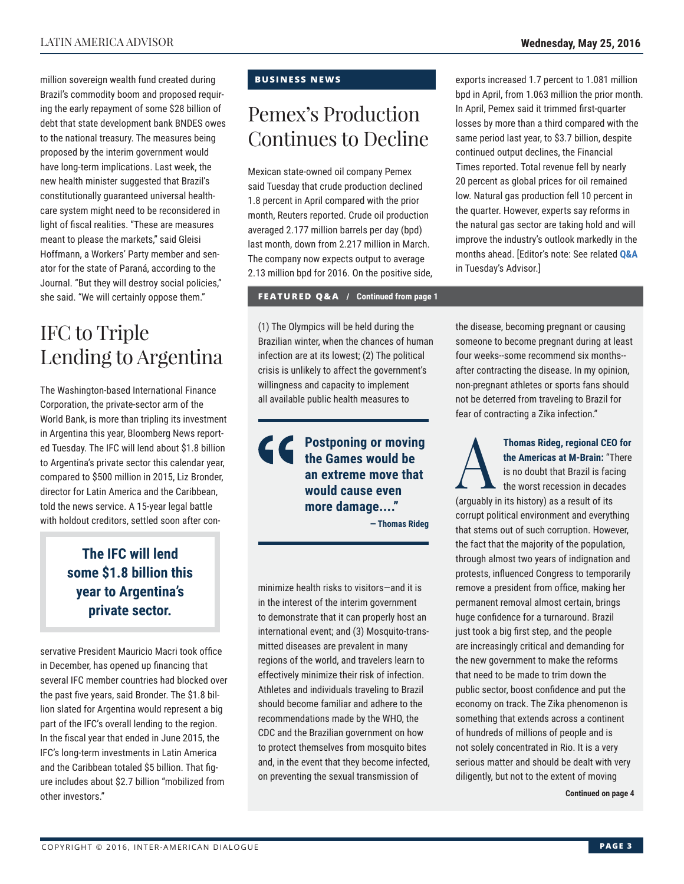million sovereign wealth fund created during Brazil's commodity boom and proposed requiring the early repayment of some \$28 billion of debt that state development bank BNDES owes to the national treasury. The measures being proposed by the interim government would have long-term implications. Last week, the new health minister suggested that Brazil's constitutionally guaranteed universal healthcare system might need to be reconsidered in light of fiscal realities. "These are measures meant to please the markets," said Gleisi Hoffmann, a Workers' Party member and senator for the state of Paraná, according to the Journal. "But they will destroy social policies," she said. "We will certainly oppose them."

### IFC to Triple Lending to Argentina

The Washington-based International Finance Corporation, the private-sector arm of the World Bank, is more than tripling its investment in Argentina this year, Bloomberg News reported Tuesday. The IFC will lend about \$1.8 billion to Argentina's private sector this calendar year, compared to \$500 million in 2015, Liz Bronder, director for Latin America and the Caribbean, told the news service. A 15-year legal battle with holdout creditors, settled soon after con-

### **The IFC will lend some \$1.8 billion this year to Argentina's private sector.**

servative President Mauricio Macri took office in December, has opened up financing that several IFC member countries had blocked over the past five years, said Bronder. The \$1.8 billion slated for Argentina would represent a big part of the IFC's overall lending to the region. In the fiscal year that ended in June 2015, the IFC's long-term investments in Latin America and the Caribbean totaled \$5 billion. That figure includes about \$2.7 billion "mobilized from other investors."

### **BUSINESS NEWS**

### Pemex's Production Continues to Decline

Mexican state-owned oil company Pemex said Tuesday that crude production declined 1.8 percent in April compared with the prior month, Reuters reported. Crude oil production averaged 2.177 million barrels per day (bpd) last month, down from 2.217 million in March. The company now expects output to average 2.13 million bpd for 2016. On the positive side,

#### **FEATURED Q&A / Continued from page 1**

(1) The Olympics will be held during the Brazilian winter, when the chances of human infection are at its lowest; (2) The political crisis is unlikely to affect the government's willingness and capacity to implement all available public health measures to

> **Postponing or moving the Games would be an extreme move that would cause even more damage...."**

> > **— Thomas Rideg**

minimize health risks to visitors—and it is in the interest of the interim government to demonstrate that it can properly host an international event; and (3) Mosquito-transmitted diseases are prevalent in many regions of the world, and travelers learn to effectively minimize their risk of infection. Athletes and individuals traveling to Brazil should become familiar and adhere to the recommendations made by the WHO, the CDC and the Brazilian government on how to protect themselves from mosquito bites and, in the event that they become infected, on preventing the sexual transmission of

exports increased 1.7 percent to 1.081 million bpd in April, from 1.063 million the prior month. In April, Pemex said it trimmed first-quarter losses by more than a third compared with the same period last year, to \$3.7 billion, despite continued output declines, the Financial Times reported. Total revenue fell by nearly 20 percent as global prices for oil remained low. Natural gas production fell 10 percent in the quarter. However, experts say reforms in the natural gas sector are taking hold and will improve the industry's outlook markedly in the months ahead. [Editor's note: See related **[Q&A](http://www.thedialogue.org/wp-content/uploads/2016/05/LAA160524.pdf)**  in Tuesday's Advisor.]

the disease, becoming pregnant or causing someone to become pregnant during at least four weeks--some recommend six months- after contracting the disease. In my opinion, non-pregnant athletes or sports fans should not be deterred from traveling to Brazil for fear of contracting a Zika infection."

Thomas Rideg, regional CEO for<br>the Americas at M-Brain: "There<br>is no doubt that Brazil is facing<br>the worst recession in decades<br>(arguebly in its biotom) se a regula of its **the Americas at M-Brain:** "There is no doubt that Brazil is facing the worst recession in decades (arguably in its history) as a result of its corrupt political environment and everything that stems out of such corruption. However, the fact that the majority of the population, through almost two years of indignation and protests, influenced Congress to temporarily remove a president from office, making her permanent removal almost certain, brings huge confidence for a turnaround. Brazil just took a big first step, and the people are increasingly critical and demanding for the new government to make the reforms

that need to be made to trim down the public sector, boost confidence and put the economy on track. The Zika phenomenon is something that extends across a continent of hundreds of millions of people and is not solely concentrated in Rio. It is a very serious matter and should be dealt with very diligently, but not to the extent of moving

**Continued on page 4**